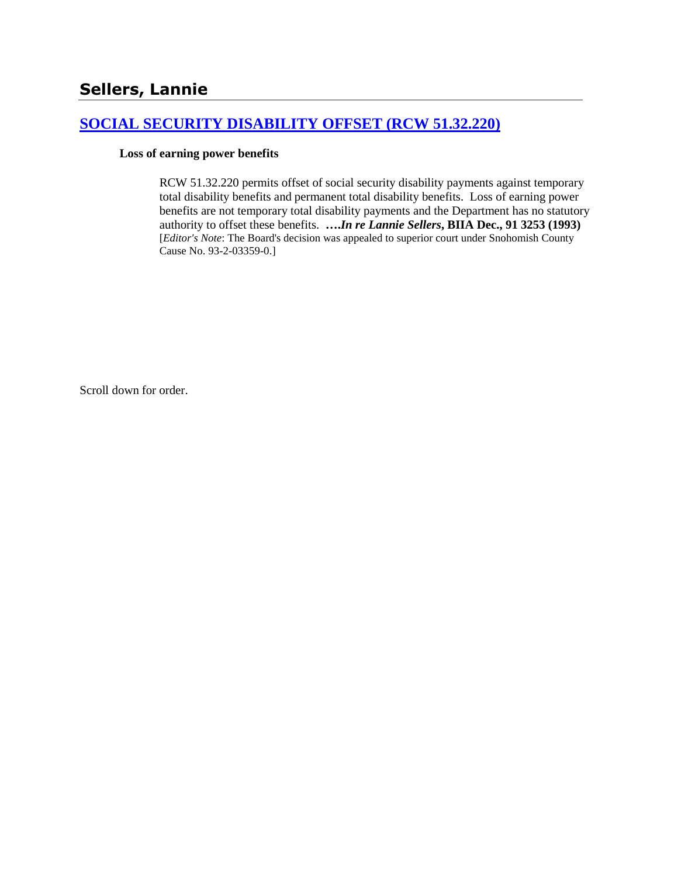# **[SOCIAL SECURITY DISABILITY OFFSET \(RCW 51.32.220\)](http://www.biia.wa.gov/SDSubjectIndex.html#SOCIAL_SECURITY_DISABILITY_OFFSET)**

#### **Loss of earning power benefits**

RCW 51.32.220 permits offset of social security disability payments against temporary total disability benefits and permanent total disability benefits. Loss of earning power benefits are not temporary total disability payments and the Department has no statutory authority to offset these benefits. **….***In re Lannie Sellers***, BIIA Dec., 91 3253 (1993)**  [*Editor's Note*: The Board's decision was appealed to superior court under Snohomish County Cause No. 93-2-03359-0.]

Scroll down for order.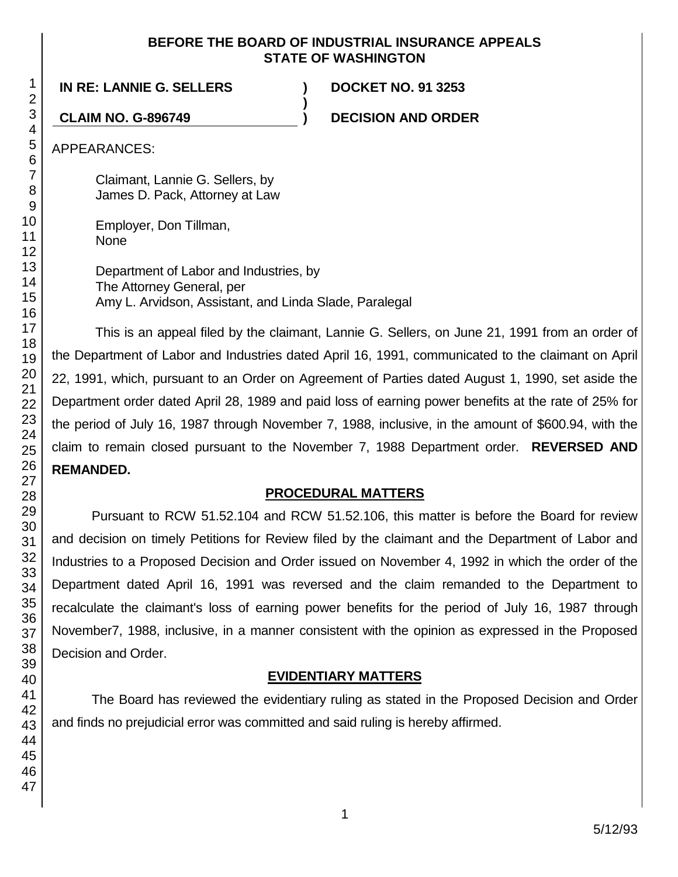#### **BEFORE THE BOARD OF INDUSTRIAL INSURANCE APPEALS STATE OF WASHINGTON**

**)**

**IN RE: LANNIE G. SELLERS ) DOCKET NO. 91 3253**

**CLAIM NO. G-896749 ) DECISION AND ORDER**

APPEARANCES:

Claimant, Lannie G. Sellers, by James D. Pack, Attorney at Law

Employer, Don Tillman, None

Department of Labor and Industries, by The Attorney General, per Amy L. Arvidson, Assistant, and Linda Slade, Paralegal

This is an appeal filed by the claimant, Lannie G. Sellers, on June 21, 1991 from an order of the Department of Labor and Industries dated April 16, 1991, communicated to the claimant on April 22, 1991, which, pursuant to an Order on Agreement of Parties dated August 1, 1990, set aside the Department order dated April 28, 1989 and paid loss of earning power benefits at the rate of 25% for the period of July 16, 1987 through November 7, 1988, inclusive, in the amount of \$600.94, with the claim to remain closed pursuant to the November 7, 1988 Department order. **REVERSED AND REMANDED.**

# **PROCEDURAL MATTERS**

Pursuant to RCW 51.52.104 and RCW 51.52.106, this matter is before the Board for review and decision on timely Petitions for Review filed by the claimant and the Department of Labor and Industries to a Proposed Decision and Order issued on November 4, 1992 in which the order of the Department dated April 16, 1991 was reversed and the claim remanded to the Department to recalculate the claimant's loss of earning power benefits for the period of July 16, 1987 through November7, 1988, inclusive, in a manner consistent with the opinion as expressed in the Proposed Decision and Order.

# **EVIDENTIARY MATTERS**

The Board has reviewed the evidentiary ruling as stated in the Proposed Decision and Order and finds no prejudicial error was committed and said ruling is hereby affirmed.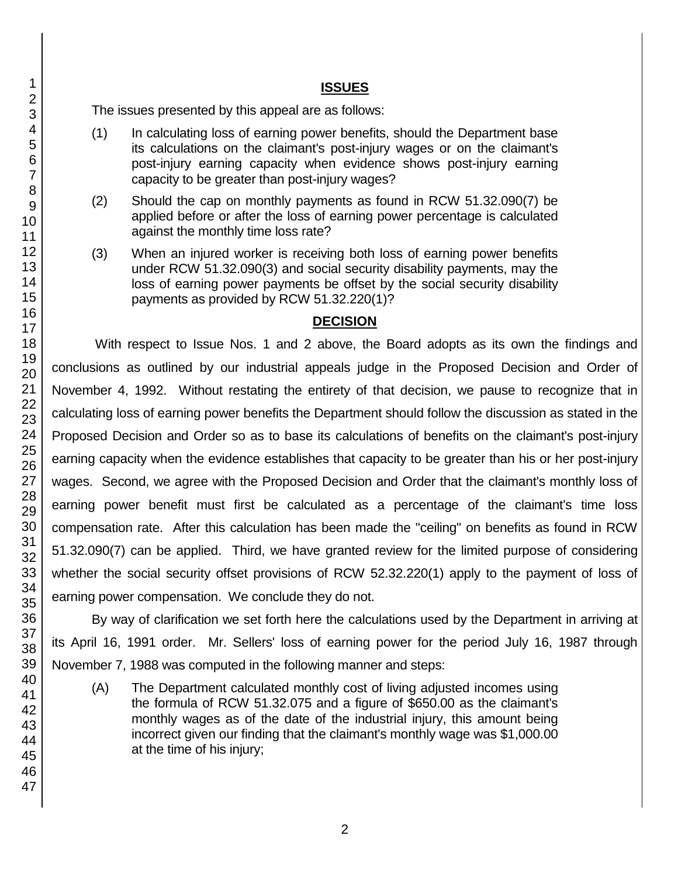### **ISSUES**

The issues presented by this appeal are as follows:

- (1) In calculating loss of earning power benefits, should the Department base its calculations on the claimant's post-injury wages or on the claimant's post-injury earning capacity when evidence shows post-injury earning capacity to be greater than post-injury wages?
- (2) Should the cap on monthly payments as found in RCW 51.32.090(7) be applied before or after the loss of earning power percentage is calculated against the monthly time loss rate?
- (3) When an injured worker is receiving both loss of earning power benefits under RCW 51.32.090(3) and social security disability payments, may the loss of earning power payments be offset by the social security disability payments as provided by RCW 51.32.220(1)?

#### **DECISION**

With respect to Issue Nos. 1 and 2 above, the Board adopts as its own the findings and conclusions as outlined by our industrial appeals judge in the Proposed Decision and Order of November 4, 1992. Without restating the entirety of that decision, we pause to recognize that in calculating loss of earning power benefits the Department should follow the discussion as stated in the Proposed Decision and Order so as to base its calculations of benefits on the claimant's post-injury earning capacity when the evidence establishes that capacity to be greater than his or her post-injury wages. Second, we agree with the Proposed Decision and Order that the claimant's monthly loss of earning power benefit must first be calculated as a percentage of the claimant's time loss compensation rate. After this calculation has been made the "ceiling" on benefits as found in RCW 51.32.090(7) can be applied. Third, we have granted review for the limited purpose of considering whether the social security offset provisions of RCW 52.32.220(1) apply to the payment of loss of earning power compensation. We conclude they do not.

By way of clarification we set forth here the calculations used by the Department in arriving at its April 16, 1991 order. Mr. Sellers' loss of earning power for the period July 16, 1987 through November 7, 1988 was computed in the following manner and steps:

(A) The Department calculated monthly cost of living adjusted incomes using the formula of RCW 51.32.075 and a figure of \$650.00 as the claimant's monthly wages as of the date of the industrial injury, this amount being incorrect given our finding that the claimant's monthly wage was \$1,000.00 at the time of his injury;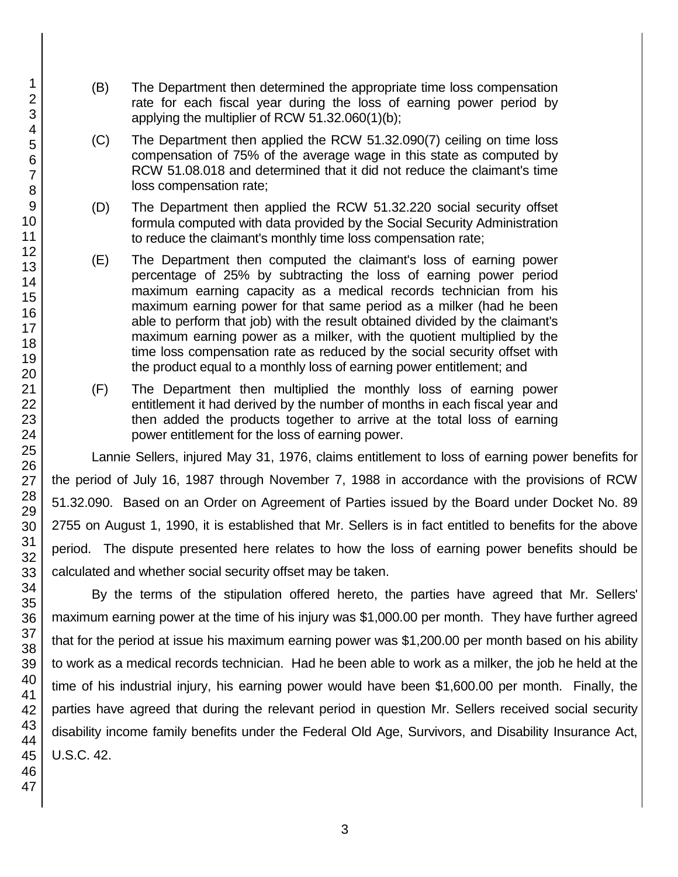- (B) The Department then determined the appropriate time loss compensation rate for each fiscal year during the loss of earning power period by applying the multiplier of RCW 51.32.060(1)(b);
- (C) The Department then applied the RCW 51.32.090(7) ceiling on time loss compensation of 75% of the average wage in this state as computed by RCW 51.08.018 and determined that it did not reduce the claimant's time loss compensation rate;
- (D) The Department then applied the RCW 51.32.220 social security offset formula computed with data provided by the Social Security Administration to reduce the claimant's monthly time loss compensation rate;
- (E) The Department then computed the claimant's loss of earning power percentage of 25% by subtracting the loss of earning power period maximum earning capacity as a medical records technician from his maximum earning power for that same period as a milker (had he been able to perform that job) with the result obtained divided by the claimant's maximum earning power as a milker, with the quotient multiplied by the time loss compensation rate as reduced by the social security offset with the product equal to a monthly loss of earning power entitlement; and
- (F) The Department then multiplied the monthly loss of earning power entitlement it had derived by the number of months in each fiscal year and then added the products together to arrive at the total loss of earning power entitlement for the loss of earning power.

Lannie Sellers, injured May 31, 1976, claims entitlement to loss of earning power benefits for the period of July 16, 1987 through November 7, 1988 in accordance with the provisions of RCW 51.32.090. Based on an Order on Agreement of Parties issued by the Board under Docket No. 89 2755 on August 1, 1990, it is established that Mr. Sellers is in fact entitled to benefits for the above period. The dispute presented here relates to how the loss of earning power benefits should be calculated and whether social security offset may be taken.

By the terms of the stipulation offered hereto, the parties have agreed that Mr. Sellers' maximum earning power at the time of his injury was \$1,000.00 per month. They have further agreed that for the period at issue his maximum earning power was \$1,200.00 per month based on his ability to work as a medical records technician. Had he been able to work as a milker, the job he held at the time of his industrial injury, his earning power would have been \$1,600.00 per month. Finally, the parties have agreed that during the relevant period in question Mr. Sellers received social security disability income family benefits under the Federal Old Age, Survivors, and Disability Insurance Act, U.S.C. 42.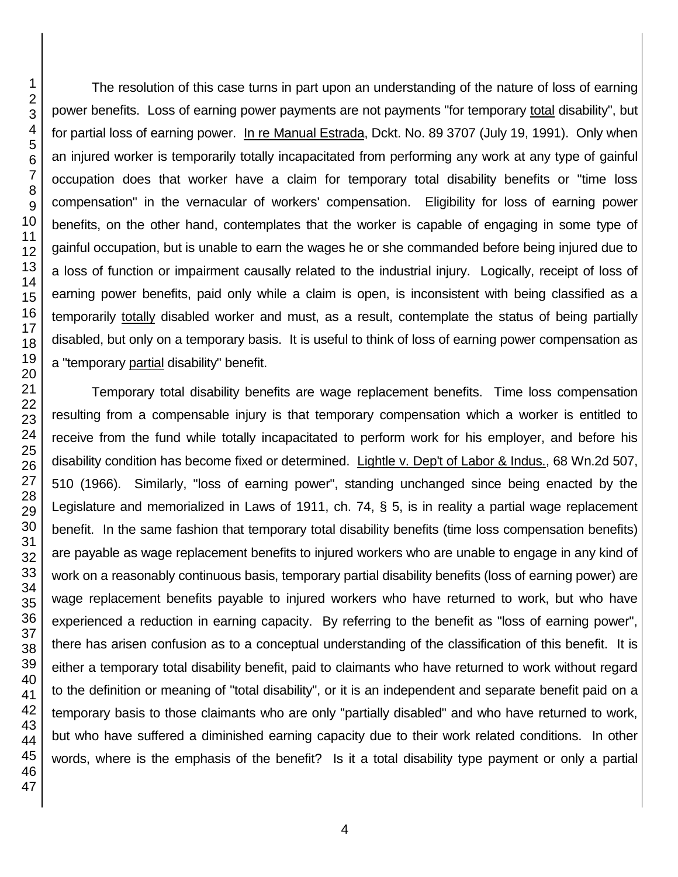The resolution of this case turns in part upon an understanding of the nature of loss of earning power benefits. Loss of earning power payments are not payments "for temporary total disability", but for partial loss of earning power. In re Manual Estrada, Dckt. No. 89 3707 (July 19, 1991). Only when an injured worker is temporarily totally incapacitated from performing any work at any type of gainful occupation does that worker have a claim for temporary total disability benefits or "time loss compensation" in the vernacular of workers' compensation. Eligibility for loss of earning power benefits, on the other hand, contemplates that the worker is capable of engaging in some type of gainful occupation, but is unable to earn the wages he or she commanded before being injured due to a loss of function or impairment causally related to the industrial injury. Logically, receipt of loss of earning power benefits, paid only while a claim is open, is inconsistent with being classified as a temporarily totally disabled worker and must, as a result, contemplate the status of being partially disabled, but only on a temporary basis. It is useful to think of loss of earning power compensation as a "temporary partial disability" benefit.

Temporary total disability benefits are wage replacement benefits. Time loss compensation resulting from a compensable injury is that temporary compensation which a worker is entitled to receive from the fund while totally incapacitated to perform work for his employer, and before his disability condition has become fixed or determined. Lightle v. Dep't of Labor & Indus., 68 Wn.2d 507, 510 (1966). Similarly, "loss of earning power", standing unchanged since being enacted by the Legislature and memorialized in Laws of 1911, ch. 74, § 5, is in reality a partial wage replacement benefit. In the same fashion that temporary total disability benefits (time loss compensation benefits) are payable as wage replacement benefits to injured workers who are unable to engage in any kind of work on a reasonably continuous basis, temporary partial disability benefits (loss of earning power) are wage replacement benefits payable to injured workers who have returned to work, but who have experienced a reduction in earning capacity. By referring to the benefit as "loss of earning power", there has arisen confusion as to a conceptual understanding of the classification of this benefit. It is either a temporary total disability benefit, paid to claimants who have returned to work without regard to the definition or meaning of "total disability", or it is an independent and separate benefit paid on a temporary basis to those claimants who are only "partially disabled" and who have returned to work, but who have suffered a diminished earning capacity due to their work related conditions. In other words, where is the emphasis of the benefit? Is it a total disability type payment or only a partial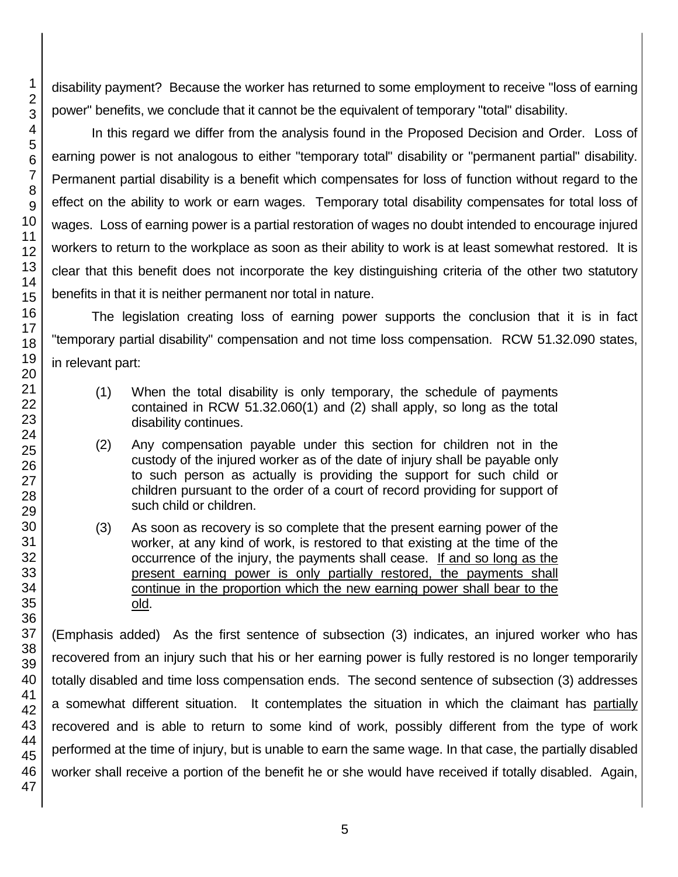disability payment? Because the worker has returned to some employment to receive "loss of earning power" benefits, we conclude that it cannot be the equivalent of temporary "total" disability.

In this regard we differ from the analysis found in the Proposed Decision and Order. Loss of earning power is not analogous to either "temporary total" disability or "permanent partial" disability. Permanent partial disability is a benefit which compensates for loss of function without regard to the effect on the ability to work or earn wages. Temporary total disability compensates for total loss of wages. Loss of earning power is a partial restoration of wages no doubt intended to encourage injured workers to return to the workplace as soon as their ability to work is at least somewhat restored. It is clear that this benefit does not incorporate the key distinguishing criteria of the other two statutory benefits in that it is neither permanent nor total in nature.

The legislation creating loss of earning power supports the conclusion that it is in fact "temporary partial disability" compensation and not time loss compensation. RCW 51.32.090 states, in relevant part:

- (1) When the total disability is only temporary, the schedule of payments contained in RCW 51.32.060(1) and (2) shall apply, so long as the total disability continues.
- (2) Any compensation payable under this section for children not in the custody of the injured worker as of the date of injury shall be payable only to such person as actually is providing the support for such child or children pursuant to the order of a court of record providing for support of such child or children.
- (3) As soon as recovery is so complete that the present earning power of the worker, at any kind of work, is restored to that existing at the time of the occurrence of the injury, the payments shall cease. If and so long as the present earning power is only partially restored, the payments shall continue in the proportion which the new earning power shall bear to the old.

(Emphasis added) As the first sentence of subsection (3) indicates, an injured worker who has recovered from an injury such that his or her earning power is fully restored is no longer temporarily totally disabled and time loss compensation ends. The second sentence of subsection (3) addresses a somewhat different situation. It contemplates the situation in which the claimant has partially recovered and is able to return to some kind of work, possibly different from the type of work performed at the time of injury, but is unable to earn the same wage. In that case, the partially disabled worker shall receive a portion of the benefit he or she would have received if totally disabled. Again,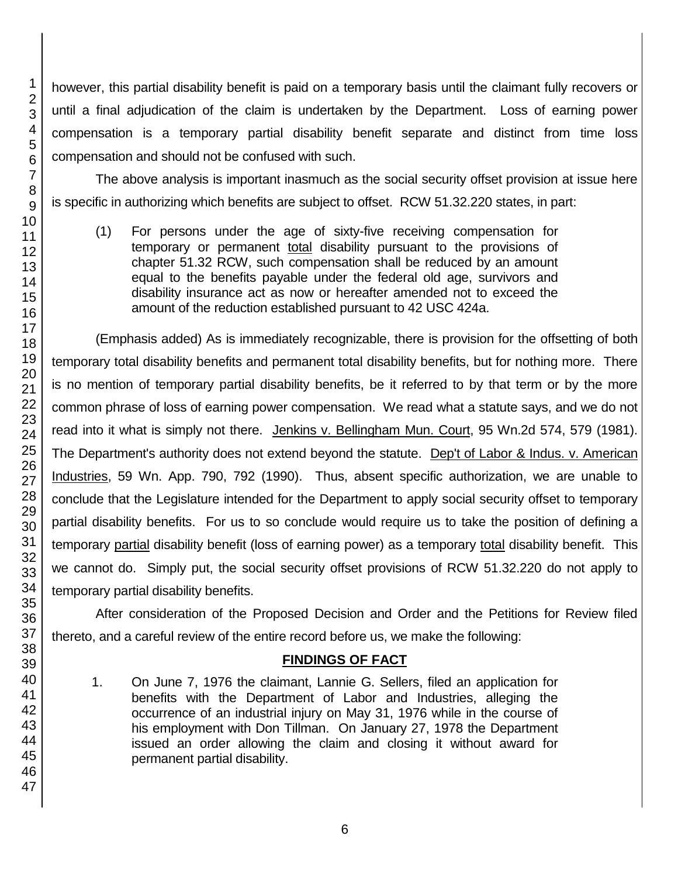however, this partial disability benefit is paid on a temporary basis until the claimant fully recovers or until a final adjudication of the claim is undertaken by the Department. Loss of earning power compensation is a temporary partial disability benefit separate and distinct from time loss compensation and should not be confused with such.

The above analysis is important inasmuch as the social security offset provision at issue here is specific in authorizing which benefits are subject to offset. RCW 51.32.220 states, in part:

(1) For persons under the age of sixty-five receiving compensation for temporary or permanent total disability pursuant to the provisions of chapter 51.32 RCW, such compensation shall be reduced by an amount equal to the benefits payable under the federal old age, survivors and disability insurance act as now or hereafter amended not to exceed the amount of the reduction established pursuant to 42 USC 424a.

(Emphasis added) As is immediately recognizable, there is provision for the offsetting of both temporary total disability benefits and permanent total disability benefits, but for nothing more. There is no mention of temporary partial disability benefits, be it referred to by that term or by the more common phrase of loss of earning power compensation. We read what a statute says, and we do not read into it what is simply not there. Jenkins v. Bellingham Mun. Court, 95 Wn.2d 574, 579 (1981). The Department's authority does not extend beyond the statute. Dep't of Labor & Indus. v. American Industries, 59 Wn. App. 790, 792 (1990). Thus, absent specific authorization, we are unable to conclude that the Legislature intended for the Department to apply social security offset to temporary partial disability benefits. For us to so conclude would require us to take the position of defining a temporary partial disability benefit (loss of earning power) as a temporary total disability benefit. This we cannot do. Simply put, the social security offset provisions of RCW 51.32.220 do not apply to temporary partial disability benefits.

After consideration of the Proposed Decision and Order and the Petitions for Review filed thereto, and a careful review of the entire record before us, we make the following:

# **FINDINGS OF FACT**

1. On June 7, 1976 the claimant, Lannie G. Sellers, filed an application for benefits with the Department of Labor and Industries, alleging the occurrence of an industrial injury on May 31, 1976 while in the course of his employment with Don Tillman. On January 27, 1978 the Department issued an order allowing the claim and closing it without award for permanent partial disability.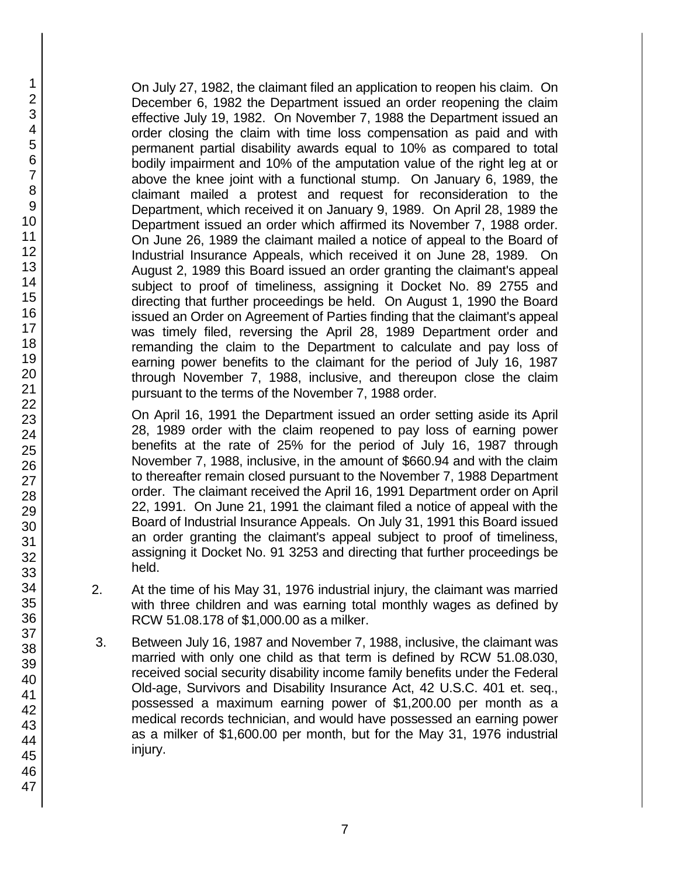On July 27, 1982, the claimant filed an application to reopen his claim. On December 6, 1982 the Department issued an order reopening the claim effective July 19, 1982. On November 7, 1988 the Department issued an order closing the claim with time loss compensation as paid and with permanent partial disability awards equal to 10% as compared to total bodily impairment and 10% of the amputation value of the right leg at or above the knee joint with a functional stump. On January 6, 1989, the claimant mailed a protest and request for reconsideration to the Department, which received it on January 9, 1989. On April 28, 1989 the Department issued an order which affirmed its November 7, 1988 order. On June 26, 1989 the claimant mailed a notice of appeal to the Board of Industrial Insurance Appeals, which received it on June 28, 1989. On August 2, 1989 this Board issued an order granting the claimant's appeal subject to proof of timeliness, assigning it Docket No. 89 2755 and directing that further proceedings be held. On August 1, 1990 the Board issued an Order on Agreement of Parties finding that the claimant's appeal was timely filed, reversing the April 28, 1989 Department order and remanding the claim to the Department to calculate and pay loss of earning power benefits to the claimant for the period of July 16, 1987 through November 7, 1988, inclusive, and thereupon close the claim pursuant to the terms of the November 7, 1988 order.

On April 16, 1991 the Department issued an order setting aside its April 28, 1989 order with the claim reopened to pay loss of earning power benefits at the rate of 25% for the period of July 16, 1987 through November 7, 1988, inclusive, in the amount of \$660.94 and with the claim to thereafter remain closed pursuant to the November 7, 1988 Department order. The claimant received the April 16, 1991 Department order on April 22, 1991. On June 21, 1991 the claimant filed a notice of appeal with the Board of Industrial Insurance Appeals. On July 31, 1991 this Board issued an order granting the claimant's appeal subject to proof of timeliness, assigning it Docket No. 91 3253 and directing that further proceedings be held.

- 2. At the time of his May 31, 1976 industrial injury, the claimant was married with three children and was earning total monthly wages as defined by RCW 51.08.178 of \$1,000.00 as a milker.
- 3. Between July 16, 1987 and November 7, 1988, inclusive, the claimant was married with only one child as that term is defined by RCW 51.08.030, received social security disability income family benefits under the Federal Old-age, Survivors and Disability Insurance Act, 42 U.S.C. 401 et. seq., possessed a maximum earning power of \$1,200.00 per month as a medical records technician, and would have possessed an earning power as a milker of \$1,600.00 per month, but for the May 31, 1976 industrial injury.